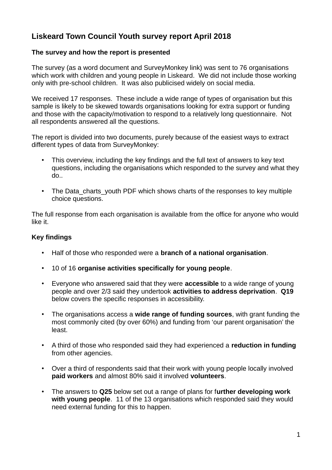# **Liskeard Town Council Youth survey report April 2018**

# **The survey and how the report is presented**

The survey (as a word document and SurveyMonkey link) was sent to 76 organisations which work with children and young people in Liskeard. We did not include those working only with pre-school children. It was also publicised widely on social media.

We received 17 responses. These include a wide range of types of organisation but this sample is likely to be skewed towards organisations looking for extra support or funding and those with the capacity/motivation to respond to a relatively long questionnaire. Not all respondents answered all the questions.

The report is divided into two documents, purely because of the easiest ways to extract different types of data from SurveyMonkey:

- This overview, including the key findings and the full text of answers to key text questions, including the organisations which responded to the survey and what they do..
- The Data charts youth PDF which shows charts of the responses to key multiple choice questions.

The full response from each organisation is available from the office for anyone who would like it.

# **Key findings**

- Half of those who responded were a **branch of a national organisation**.
- 10 of 16 **organise activities specifically for young people**.
- Everyone who answered said that they were **accessible** to a wide range of young people and over 2/3 said they undertook **activities to address deprivation**. **Q19** below covers the specific responses in accessibility.
- The organisations access a **wide range of funding sources**, with grant funding the most commonly cited (by over 60%) and funding from 'our parent organisation' the least.
- A third of those who responded said they had experienced a **reduction in funding** from other agencies.
- Over a third of respondents said that their work with young people locally involved **paid workers** and almost 80% said it involved **volunteers**.
- The answers to **Q25** below set out a range of plans for f**urther developing work with young people**. 11 of the 13 organisations which responded said they would need external funding for this to happen.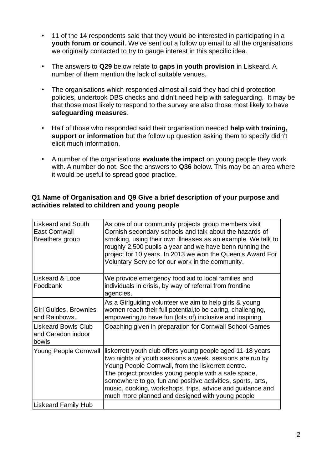- 11 of the 14 respondents said that they would be interested in participating in a **youth forum or council**. We've sent out a follow up email to all the organisations we originally contacted to try to gauge interest in this specific idea.
- The answers to **Q29** below relate to **gaps in youth provision** in Liskeard. A number of them mention the lack of suitable venues.
- The organisations which responded almost all said they had child protection policies, undertook DBS checks and didn't need help with safeguarding. It may be that those most likely to respond to the survey are also those most likely to have **safeguarding measures**.
- Half of those who responded said their organisation needed **help with training, support or information** but the follow up question asking them to specify didn't elicit much information.
- A number of the organisations **evaluate the impact** on young people they work with. A number do not. See the answers to **Q36** below. This may be an area where it would be useful to spread good practice.

# **Q1 Name of Organisation and Q9 Give a brief description of your purpose and activities related to children and young people**

| Liskeard and South<br><b>East Cornwall</b><br>Breathers group | As one of our community projects group members visit<br>Cornish secondary schools and talk about the hazards of<br>smoking, using their own illnesses as an example. We talk to<br>roughly 2,500 pupils a year and we have benn running the<br>project for 10 years. In 2013 we won the Queen's Award For<br>Voluntary Service for our work in the community.                                                        |
|---------------------------------------------------------------|----------------------------------------------------------------------------------------------------------------------------------------------------------------------------------------------------------------------------------------------------------------------------------------------------------------------------------------------------------------------------------------------------------------------|
| Liskeard & Looe<br>Foodbank                                   | We provide emergency food aid to local families and<br>individuals in crisis, by way of referral from frontline<br>agencies.                                                                                                                                                                                                                                                                                         |
| Girl Guides, Brownies<br>and Rainbows.                        | As a Girlguiding volunteer we aim to help girls & young<br>women reach their full potential, to be caring, challenging,<br>empowering, to have fun (lots of) inclusive and inspiring.                                                                                                                                                                                                                                |
| Liskeard Bowls Club<br>and Caradon indoor<br>bowls            | Coaching given in preparation for Cornwall School Games                                                                                                                                                                                                                                                                                                                                                              |
| Young People Cornwall                                         | liskerrett youth club offers young people aged 11-18 years<br>two nights of youth sessions a week. sessions are run by<br>Young People Cornwall, from the liskerrett centre.<br>The project provides young people with a safe space,<br>somewhere to go, fun and positive activities, sports, arts,<br>music, cooking, workshops, trips, advice and guidance and<br>much more planned and designed with young people |
| <b>Liskeard Family Hub</b>                                    |                                                                                                                                                                                                                                                                                                                                                                                                                      |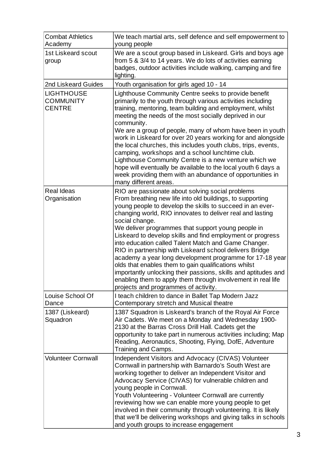| <b>Combat Athletics</b><br>Academy                     | We teach martial arts, self defence and self empowerment to<br>young people                                                                                                                                                                                                                                                                                                                                                                                                                                                                                  |
|--------------------------------------------------------|--------------------------------------------------------------------------------------------------------------------------------------------------------------------------------------------------------------------------------------------------------------------------------------------------------------------------------------------------------------------------------------------------------------------------------------------------------------------------------------------------------------------------------------------------------------|
| <b>1st Liskeard scout</b><br>group                     | We are a scout group based in Liskeard. Girls and boys age<br>from 5 & 3/4 to 14 years. We do lots of activities earning<br>badges, outdoor activities include walking, camping and fire<br>lighting.                                                                                                                                                                                                                                                                                                                                                        |
| 2nd Liskeard Guides                                    | Youth organisation for girls aged 10 - 14                                                                                                                                                                                                                                                                                                                                                                                                                                                                                                                    |
| <b>LIGHTHOUSE</b><br><b>COMMUNITY</b><br><b>CENTRE</b> | Lighthouse Community Centre seeks to provide benefit<br>primarily to the youth through various activities including<br>training, mentoring, team building and employment, whilst<br>meeting the needs of the most socially deprived in our<br>community.                                                                                                                                                                                                                                                                                                     |
|                                                        | We are a group of people, many of whom have been in youth<br>work in Liskeard for over 20 years working for and alongside<br>the local churches, this includes youth clubs, trips, events,<br>camping, workshops and a school lunchtime club.<br>Lighthouse Community Centre is a new venture which we<br>hope will eventually be available to the local youth 6 days a<br>week providing them with an abundance of opportunities in<br>many different areas.                                                                                                |
| <b>Real Ideas</b><br>Organisation                      | RIO are passionate about solving social problems<br>From breathing new life into old buildings, to supporting<br>young people to develop the skills to succeed in an ever-<br>changing world, RIO innovates to deliver real and lasting<br>social change.<br>We deliver programmes that support young people in<br>Liskeard to develop skills and find employment or progress                                                                                                                                                                                |
|                                                        | into education called Talent Match and Game Changer.<br>RIO in partnership with Liskeard school delivers Bridge<br>academy a year long development programme for 17-18 year<br>olds that enables them to gain qualifications whilst<br>importantly unlocking their passions, skills and aptitudes and<br>enabling them to apply them through involvement in real life<br>projects and programmes of activity.                                                                                                                                                |
| Louise School Of<br>Dance                              | I teach children to dance in Ballet Tap Modern Jazz<br>Contemporary stretch and Musical theatre                                                                                                                                                                                                                                                                                                                                                                                                                                                              |
| 1387 (Liskeard)<br>Squadron                            | 1387 Squadron is Liskeard's branch of the Royal Air Force<br>Air Cadets. We meet on a Monday and Wednesday 1900-<br>2130 at the Barras Cross Drill Hall. Cadets get the<br>opportunity to take part in numerous activities including; Map<br>Reading, Aeronautics, Shooting, Flying, DofE, Adventure<br>Training and Camps.                                                                                                                                                                                                                                  |
| <b>Volunteer Cornwall</b>                              | Independent Visitors and Advocacy (CIVAS) Volunteer<br>Cornwall in partnership with Barnardo's South West are<br>working together to deliver an Independent Visitor and<br>Advocacy Service (CIVAS) for vulnerable children and<br>young people in Cornwall.<br>Youth Volunteering - Volunteer Cornwall are currently<br>reviewing how we can enable more young people to get<br>involved in their community through volunteering. It is likely<br>that we'll be delivering workshops and giving talks in schools<br>and youth groups to increase engagement |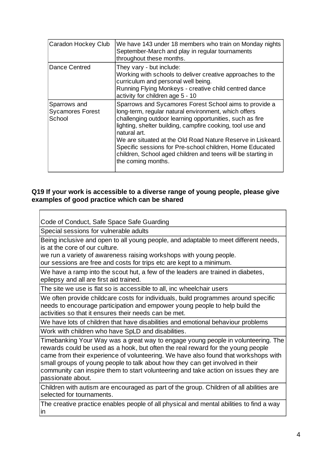| Caradon Hockey Club                               | We have 143 under 18 members who train on Monday nights<br>September-March and play in regular tournaments<br>throughout these months.                                                                                                                                                                                                                                                                                                                                    |
|---------------------------------------------------|---------------------------------------------------------------------------------------------------------------------------------------------------------------------------------------------------------------------------------------------------------------------------------------------------------------------------------------------------------------------------------------------------------------------------------------------------------------------------|
| Dance Centred                                     | They vary - but include:<br>Working with schools to deliver creative approaches to the<br>curriculum and personal well being.<br>Running Flying Monkeys - creative child centred dance<br>activity for children age 5 - 10                                                                                                                                                                                                                                                |
| Sparrows and<br><b>Sycamores Forest</b><br>School | Sparrows and Sycamores Forest School aims to provide a<br>long-term, regular natural environment, which offers<br>challenging outdoor learning opportunities, such as fire<br>lighting, shelter building, campfire cooking, tool use and<br>natural art.<br>We are situated at the Old Road Nature Reserve in Liskeard.<br>Specific sessions for Pre-school children, Home Educated<br>children, School aged children and teens will be starting in<br>the coming months. |

#### **Q19 If your work is accessible to a diverse range of young people, please give examples of good practice which can be shared**

Special sessions for vulnerable adults Code of Conduct, Safe Space Safe Guarding Being inclusive and open to all young people, and adaptable to meet different needs, is at the core of our culture. we run a variety of awareness raising workshops with young people. our sessions are free and costs for trips etc are kept to a minimum. We have a ramp into the scout hut, a few of the leaders are trained in diabetes, epilepsy and all are first aid trained.

The site we use is flat so is accessible to all, inc wheelchair users

We often provide childcare costs for individuals, build programmes around specific needs to encourage participation and empower young people to help build the activities so that it ensures their needs can be met.

We have lots of children that have disabilities and emotional behaviour problems

Work with children who have SpLD and disabilities.

Timebanking Your Way was a great way to engage young people in volunteering. The rewards could be used as a hook, but often the real reward for the young people came from their experience of volunteering. We have also found that workshops with small groups of young people to talk about how they can get involved in their community can inspire them to start volunteering and take action on issues they are passionate about.

Children with autism are encouraged as part of the group. Children of all abilities are selected for tournaments.

The creative practice enables people of all physical and mental abilities to find a way in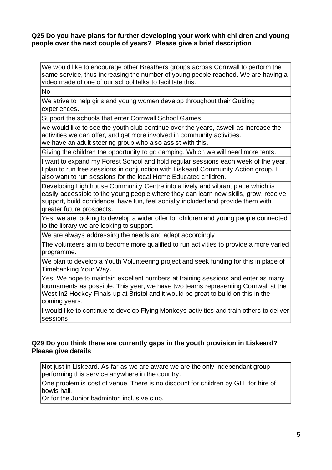#### **Q25 Do you have plans for further developing your work with children and young people over the next couple of years? Please give a brief description**

We would like to encourage other Breathers groups across Cornwall to perform the same service, thus increasing the number of young people reached. We are having a video made of one of our school talks to facilitate this.

No

We strive to help girls and young women develop throughout their Guiding experiences.

Support the schools that enter Cornwall School Games

we would like to see the youth club continue over the years, aswell as increase the activities we can offer, and get more involved in community activities. we have an adult steering group who also assist with this.

Giving the children the opportunity to go camping. Which we will need more tents.

I want to expand my Forest School and hold regular sessions each week of the year. I plan to run free sessions in conjunction with Liskeard Community Action group. I also want to run sessions for the local Home Educated children.

Developing Lighthouse Community Centre into a lively and vibrant place which is easily accessible to the young people where they can learn new skills, grow, receive support, build confidence, have fun, feel socially included and provide them with greater future prospects.

Yes, we are looking to develop a wider offer for children and young people connected to the library we are looking to support.

We are always addressing the needs and adapt accordingly

The volunteers aim to become more qualified to run activities to provide a more varied programme.

We plan to develop a Youth Volunteering project and seek funding for this in place of Timebanking Your Way.

Yes. We hope to maintain excellent numbers at training sessions and enter as many tournaments as possible. This year, we have two teams representing Cornwall at the West In2 Hockey Finals up at Bristol and it would be great to build on this in the coming years.

I would like to continue to develop Flying Monkeys activities and train others to deliver **sessions** 

# **Q29 Do you think there are currently gaps in the youth provision in Liskeard? Please give details**

Not just in Liskeard. As far as we are aware we are the only independant group performing this service anywhere in the country.

One problem is cost of venue. There is no discount for children by GLL for hire of bowls hall.

Or for the Junior badminton inclusive club.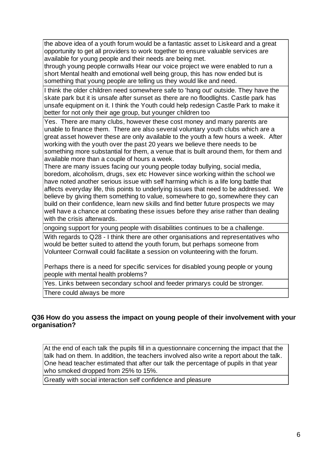the above idea of a youth forum would be a fantastic asset to Liskeard and a great opportunity to get all providers to work together to ensure valuable services are available for young people and their needs are being met.

through young people cornwalls Hear our voice project we were enabled to run a short Mental health and emotional well being group, this has now ended but is something that young people are telling us they would like and need.

I think the older children need somewhere safe to 'hang out' outside. They have the skate park but it is unsafe after sunset as there are no floodlights. Castle park has unsafe equipment on it. I think the Youth could help redesign Castle Park to make it better for not only their age group, but younger children too

Yes. There are many clubs, however these cost money and many parents are unable to finance them. There are also several voluntary youth clubs which are a great asset however these are only available to the youth a few hours a week. After working with the youth over the past 20 years we believe there needs to be something more substantial for them, a venue that is built around them, for them and available more than a couple of hours a week.

There are many issues facing our young people today bullying, social media, boredom, alcoholism, drugs, sex etc However since working within the school we have noted another serious issue with self harming which is a life long battle that affects everyday life, this points to underlying issues that need to be addressed. We believe by giving them something to value, somewhere to go, somewhere they can build on their confidence, learn new skills and find better future prospects we may well have a chance at combating these issues before they arise rather than dealing with the crisis afterwards.

ongoing support for young people with disabilities continues to be a challenge.

With regards to Q28 - I think there are other organisations and representatives who would be better suited to attend the youth forum, but perhaps someone from Volunteer Cornwall could facilitate a session on volunteering with the forum.

Perhaps there is a need for specific services for disabled young people or young people with mental health problems?

Yes. Links between secondary school and feeder primarys could be stronger.

There could always be more

# **Q36 How do you assess the impact on young people of their involvement with your organisation?**

At the end of each talk the pupils fill in a questionnaire concerning the impact that the talk had on them. In addition, the teachers involved also write a report about the talk. One head teacher estimated that after our talk the percentage of pupils in that year who smoked dropped from 25% to 15%.

Greatly with social interaction self confidence and pleasure